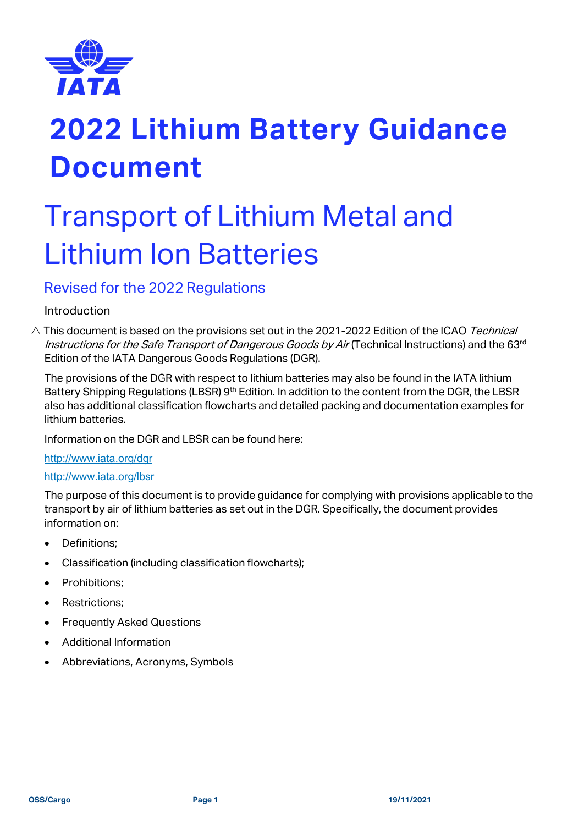

## Transport of Lithium Metal and Lithium Ion Batteries

## Revised for the 2022 Regulations

## Introduction

 $\triangle$  This document is based on the provisions set out in the 2021-2022 Edition of the ICAO Technical Instructions for the Safe Transport of Dangerous Goods by Air (Technical Instructions) and the 63<sup>rd</sup> Edition of the IATA Dangerous Goods Regulations (DGR).

The provisions of the DGR with respect to lithium batteries may also be found in the IATA lithium Battery Shipping Regulations (LBSR) 9<sup>th</sup> Edition. In addition to the content from the DGR, the LBSR also has additional classification flowcharts and detailed packing and documentation examples for lithium batteries.

Information on the DGR and LBSR can be found here:

#### <http://www.iata.org/dgr>

#### <http://www.iata.org/lbsr>

The purpose of this document is to provide guidance for complying with provisions applicable to the transport by air of lithium batteries as set out in the DGR. Specifically, the document provides information on:

- Definitions;
- Classification (including classification flowcharts);
- Prohibitions;
- Restrictions;
- Frequently Asked Questions
- Additional Information
- Abbreviations, Acronyms, Symbols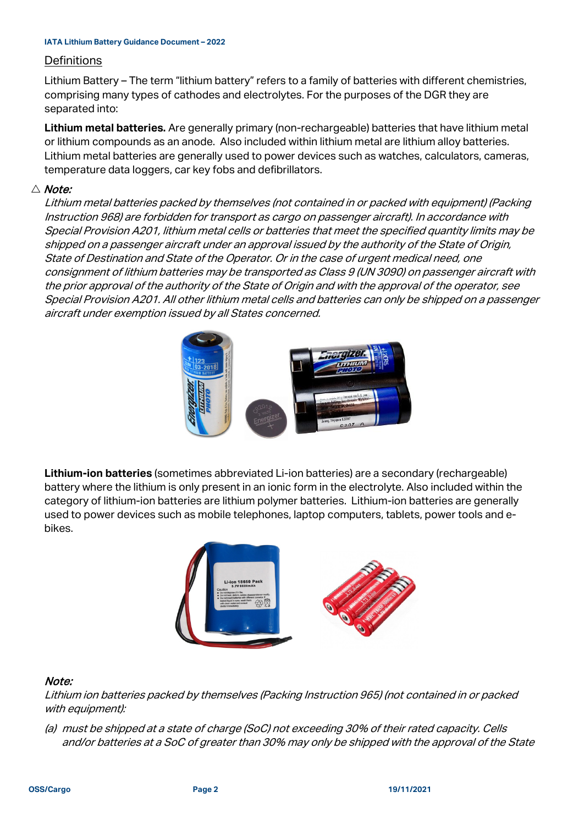#### **Definitions**

Lithium Battery – The term "lithium battery" refers to a family of batteries with different chemistries, comprising many types of cathodes and electrolytes. For the purposes of the DGR they are separated into:

**Lithium metal batteries.** Are generally primary (non-rechargeable) batteries that have lithium metal or lithium compounds as an anode. Also included within lithium metal are lithium alloy batteries. Lithium metal batteries are generally used to power devices such as watches, calculators, cameras, temperature data loggers, car key fobs and defibrillators.

#### $\triangle$  Note:

Lithium metal batteries packed by themselves (not contained in or packed with equipment) (Packing Instruction 968) are forbidden for transport as cargo on passenger aircraft). In accordance with Special Provision A201, lithium metal cells or batteries that meet the specified quantity limits may be shipped on a passenger aircraft under an approval issued by the authority of the State of Origin, State of Destination and State of the Operator. Or in the case of urgent medical need, one consignment of lithium batteries may be transported as Class 9 (UN 3090) on passenger aircraft with the prior approval of the authority of the State of Origin and with the approval of the operator, see Special Provision A201. All other lithium metal cells and batteries can only be shipped on a passenger aircraft under exemption issued by all States concerned.



**Lithium-ion batteries** (sometimes abbreviated Li-ion batteries) are a secondary (rechargeable) battery where the lithium is only present in an ionic form in the electrolyte. Also included within the category of lithium-ion batteries are lithium polymer batteries. Lithium-ion batteries are generally used to power devices such as mobile telephones, laptop computers, tablets, power tools and ebikes.



#### Note:

Lithium ion batteries packed by themselves (Packing Instruction 965) (not contained in or packed with equipment):

(a) must be shipped at a state of charge (SoC) not exceeding 30% of their rated capacity. Cells and/or batteries at a SoC of greater than 30% may only be shipped with the approval of the State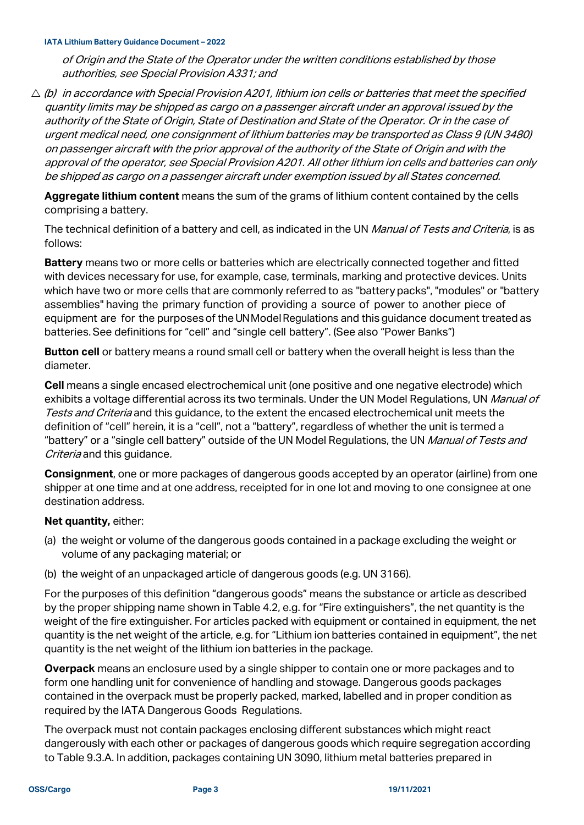of Origin and the State of the Operator under the written conditions established by those authorities, see Special Provision A331; and

 $\triangle$  (b) in accordance with Special Provision A201, lithium ion cells or batteries that meet the specified quantity limits may be shipped as cargo on a passenger aircraft under an approval issued by the authority of the State of Origin, State of Destination and State of the Operator. Or in the case of urgent medical need, one consignment of lithium batteries may be transported as Class 9 (UN 3480) on passenger aircraft with the prior approval of the authority of the State of Origin and with the approval of the operator, see Special Provision A201. All other lithium ion cells and batteries can only be shipped as cargo on a passenger aircraft under exemption issued by all States concerned.

**Aggregate lithium content** means the sum of the grams of lithium content contained by the cells comprising a battery.

The technical definition of a battery and cell, as indicated in the UN Manual of Tests and Criteria, is as follows:

**Battery** means two or more cells or batteries which are electrically connected together and fitted with devices necessary for use, for example, case, terminals, marking and protective devices. Units which have two or more cells that are commonly referred to as "battery packs", "modules" or "battery assemblies" having the primary function of providing a source of power to another piece of equipment are for the purposes of the UN Model Requlations and this quidance document treated as batteries. See definitions for "cell" and "single cell battery". (See also "Power Banks")

**Button cell** or battery means a round small cell or battery when the overall height is less than the diameter.

**Cell** means a single encased electrochemical unit (one positive and one negative electrode) which exhibits a voltage differential across its two terminals. Under the UN Model Regulations, UN *Manual of* Tests and Criteria and this guidance, to the extent the encased electrochemical unit meets the definition of "cell" herein, it is a "cell", not a "battery", regardless of whether the unit is termed a "battery" or a "single cell battery" outside of the UN Model Regulations, the UN Manual of Tests and Criteria and this quidance.

**Consignment**, one or more packages of dangerous goods accepted by an operator (airline) from one shipper at one time and at one address, receipted for in one lot and moving to one consignee at one destination address.

#### **Net quantity,** either:

- (a) the weight or volume of the dangerous goods contained in a package excluding the weight or volume of any packaging material; or
- (b) the weight of an unpackaged article of dangerous goods (e.g. UN 3166).

For the purposes of this definition "dangerous goods" means the substance or article as described by the proper shipping name shown in Table 4.2, e.g. for "Fire extinguishers", the net quantity is the weight of the fire extinguisher. For articles packed with equipment or contained in equipment, the net quantity is the net weight of the article, e.g. for "Lithium ion batteries contained in equipment", the net quantity is the net weight of the lithium ion batteries in the package.

**Overpack** means an enclosure used by a single shipper to contain one or more packages and to form one handling unit for convenience of handling and stowage. Dangerous goods packages contained in the overpack must be properly packed, marked, labelled and in proper condition as required by the IATA Dangerous Goods Regulations.

The overpack must not contain packages enclosing different substances which might react dangerously with each other or packages of dangerous goods which require segregation according to Table 9.3.A. In addition, packages containing UN 3090, lithium metal batteries prepared in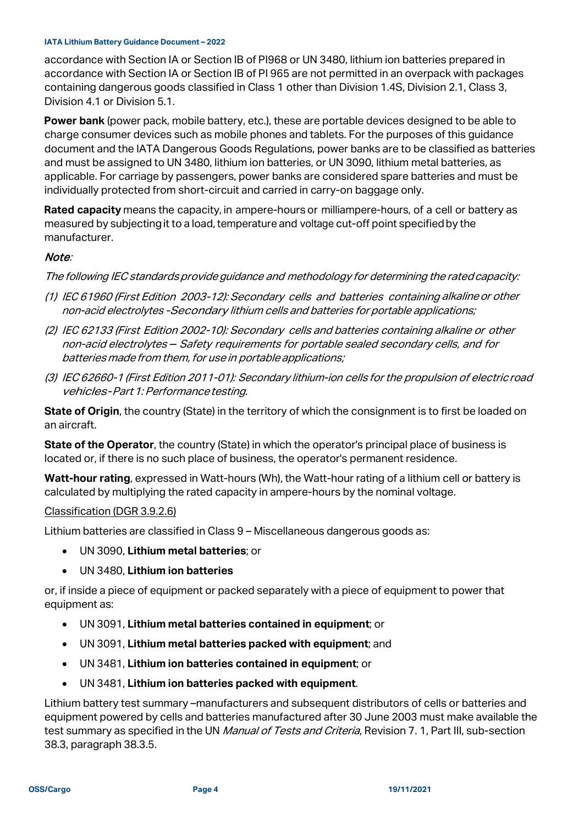accordance with Section IA or Section IB of PI968 or UN 3480, lithium ion batteries prepared in accordance with Section IA or Section IB of PI 965 are not permitted in an overpack with packages containing dangerous goods classified in Class 1 other than Division 1.4S, Division 2.1, Class 3, Division 4.1 or Division 5.1.

**Power bank** (power pack, mobile battery, etc.), these are portable devices designed to be able to charge consumer devices such as mobile phones and tablets. For the purposes of this guidance document and the IATA Dangerous Goods Regulations, power banks are to be classified as batteries and must be assigned to UN 3480, lithium ion batteries, or UN 3090, lithium metal batteries, as applicable. For carriage by passengers, power banks are considered spare batteries and must be individually protected from short-circuit and carried in carry-on baggage only.

**Rated capacity** means the capacity, in ampere-hours or milliampere-hours, of a cell or battery as measured by subjectingit to a load, temperature and voltage cut-off point specifiedby the manufacturer.

#### Note:

The following IEC standards provide guidance and methodology for determining the rated capacity:

- (1) IEC 61960 (First Edition 2003-12): Secondary cells and batteries containing alkalineor other non-acid electrolytes -Secondary lithium cells and batteries for portable applications;
- (2) IEC 62133 (First Edition 2002-10): Secondary cells and batteries containing alkaline or other non-acid electrolytes - Safety requirements for portable sealed secondary cells, and for batteries made from them, for use in portable applications;
- (3) IEC 62660-1 (First Edition 2011-01): Secondary lithium-ion cells for the propulsion of electricroad vehicles-Part 1: Performance testing.

**State of Origin**, the country (State) in the territory of which the consignment is to first be loaded on an aircraft.

**State of the Operator**, the country (State) in which the operator's principal place of business is located or, if there is no such place of business, the operator's permanent residence.

**Watt-hour rating**, expressed in Watt-hours (Wh), the Watt-hour rating of a lithium cell or battery is calculated by multiplying the rated capacity in ampere-hours by the nominal voltage.

#### Classification (DGR 3.9.2.6)

Lithium batteries are classified in Class 9 – Miscellaneous dangerous goods as:

- UN 3090, **Lithium metal batteries**; or
- UN 3480, **Lithium ion batteries**

or, if inside a piece of equipment or packed separately with a piece of equipment to power that equipment as:

- UN 3091, **Lithium metal batteries contained in equipment**; or
- UN 3091, **Lithium metal batteries packed with equipment**; and
- UN 3481, **Lithium ion batteries contained in equipment**; or
- UN 3481, **Lithium ion batteries packed with equipment**.

Lithium battery test summary –manufacturers and subsequent distributors of cells or batteries and equipment powered by cells and batteries manufactured after 30 June 2003 must make available the test summary as specified in the UN *Manual of Tests and Criteria*, Revision 7.1, Part III, sub-section 38.3, paragraph 38.3.5.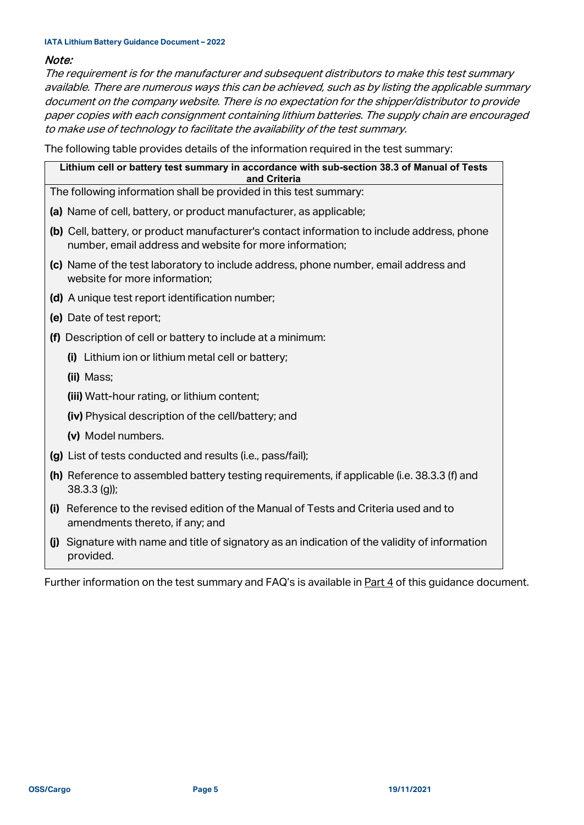#### Note:

The requirement is for the manufacturer and subsequent distributors to make this test summary available. There are numerous ways this can be achieved, such as by listing the applicable summary document on the company website. There is no expectation for the shipper/distributor to provide paper copies with each consignment containing lithium batteries. The supply chain are encouraged to make use of technology to facilitate the availability of the test summary.

The following table provides details of the information required in the test summary:

| Lithium cell or battery test summary in accordance with sub-section 38.3 of Manual of Tests<br>and Criteria |                                                                                                                                                       |  |  |  |
|-------------------------------------------------------------------------------------------------------------|-------------------------------------------------------------------------------------------------------------------------------------------------------|--|--|--|
|                                                                                                             | The following information shall be provided in this test summary:                                                                                     |  |  |  |
|                                                                                                             | (a) Name of cell, battery, or product manufacturer, as applicable;                                                                                    |  |  |  |
|                                                                                                             | (b) Cell, battery, or product manufacturer's contact information to include address, phone<br>number, email address and website for more information; |  |  |  |
|                                                                                                             | (c) Name of the test laboratory to include address, phone number, email address and<br>website for more information;                                  |  |  |  |
|                                                                                                             | (d) A unique test report identification number;                                                                                                       |  |  |  |
|                                                                                                             | (e) Date of test report;                                                                                                                              |  |  |  |
|                                                                                                             | (f) Description of cell or battery to include at a minimum:                                                                                           |  |  |  |
|                                                                                                             | (i) Lithium ion or lithium metal cell or battery;                                                                                                     |  |  |  |
|                                                                                                             | (ii) Mass;                                                                                                                                            |  |  |  |
|                                                                                                             | (iii) Watt-hour rating, or lithium content;                                                                                                           |  |  |  |
|                                                                                                             | (iv) Physical description of the cell/battery; and                                                                                                    |  |  |  |
|                                                                                                             | (v) Model numbers.                                                                                                                                    |  |  |  |
|                                                                                                             | (g) List of tests conducted and results (i.e., pass/fail);                                                                                            |  |  |  |
|                                                                                                             | (h) Reference to assembled battery testing requirements, if applicable (i.e. 38.3.3 (f) and<br>$38.3.3$ (g));                                         |  |  |  |
| (i)                                                                                                         | Reference to the revised edition of the Manual of Tests and Criteria used and to<br>amendments thereto, if any; and                                   |  |  |  |
| (i)                                                                                                         | Signature with name and title of signatory as an indication of the validity of information<br>provided.                                               |  |  |  |

Further information on the test summary and FAQ's is available in **Part 4** of this guidance document.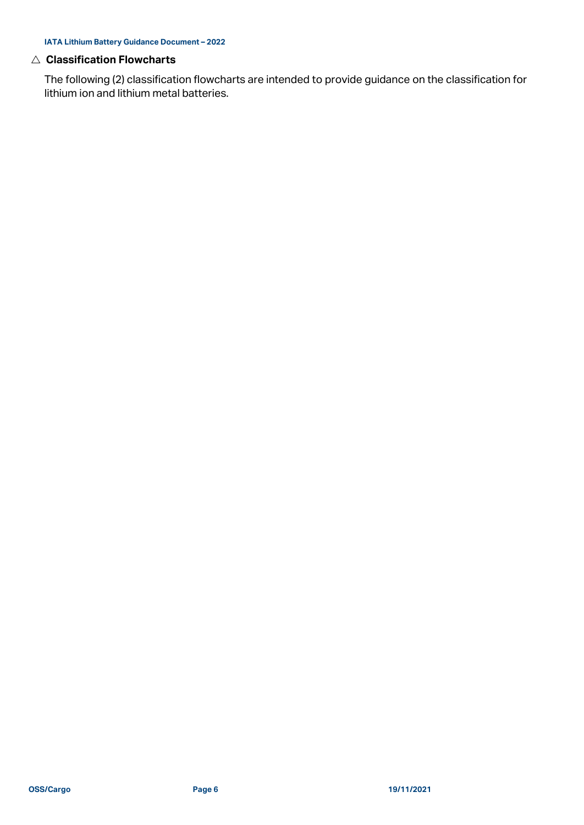#### **Classification Flowcharts**

The following (2) classification flowcharts are intended to provide guidance on the classification for lithium ion and lithium metal batteries.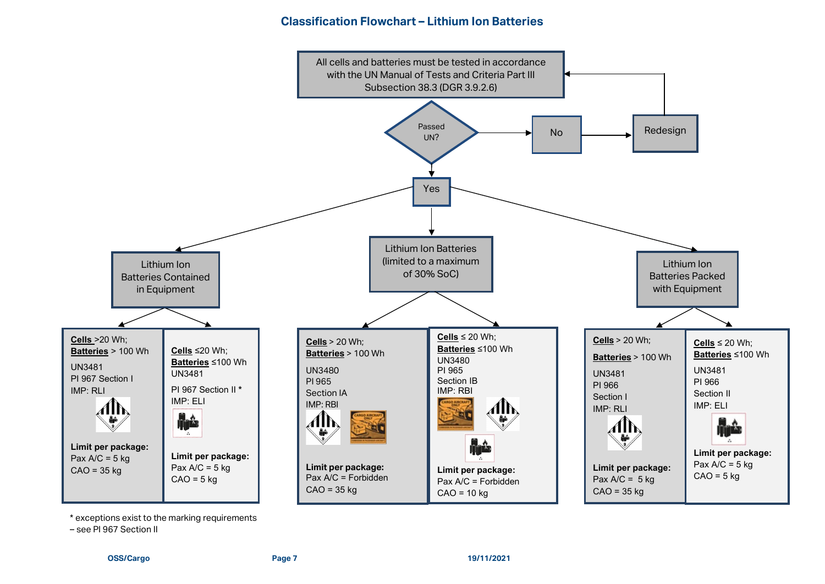## **Classification Flowchart – Lithium Ion Batteries**



\* exceptions exist to the marking requirements

– see PI 967 Section II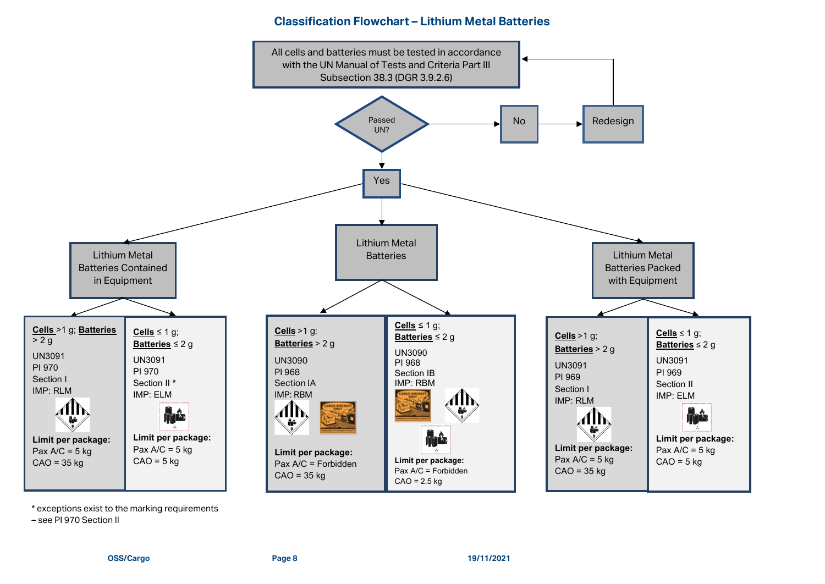#### **Classification Flowchart – Lithium Metal Batteries**



\* exceptions exist to the marking requirements

– see PI 970 Section II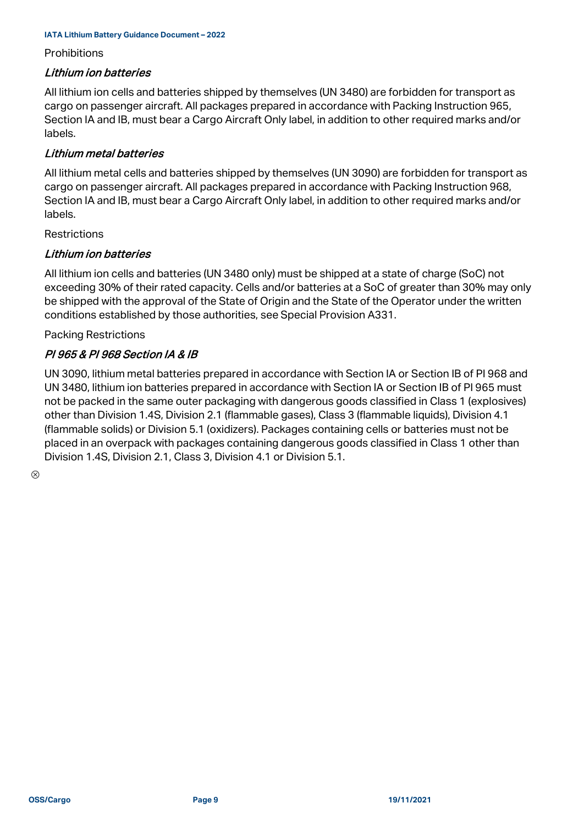#### **Prohibitions**

#### Lithium ion batteries

All lithium ion cells and batteries shipped by themselves (UN 3480) are forbidden for transport as cargo on passenger aircraft. All packages prepared in accordance with Packing Instruction 965, Section IA and IB, must bear a Cargo Aircraft Only label, in addition to other required marks and/or labels.

#### Lithium metal batteries

All lithium metal cells and batteries shipped by themselves (UN 3090) are forbidden for transport as cargo on passenger aircraft. All packages prepared in accordance with Packing Instruction 968, Section IA and IB, must bear a Cargo Aircraft Only label, in addition to other required marks and/or labels.

#### **Restrictions**

#### Lithium ion batteries

All lithium ion cells and batteries (UN 3480 only) must be shipped at a state of charge (SoC) not exceeding 30% of their rated capacity. Cells and/or batteries at a SoC of greater than 30% may only be shipped with the approval of the State of Origin and the State of the Operator under the written conditions established by those authorities, see Special Provision A331.

Packing Restrictions

## PI 965 & PI 968 Section IA & IB

UN 3090, lithium metal batteries prepared in accordance with Section IA or Section IB of PI 968 and UN 3480, lithium ion batteries prepared in accordance with Section IA or Section IB of PI 965 must not be packed in the same outer packaging with dangerous goods classified in Class 1 (explosives) other than Division 1.4S, Division 2.1 (flammable gases), Class 3 (flammable liquids), Division 4.1 (flammable solids) or Division 5.1 (oxidizers). Packages containing cells or batteries must not be placed in an overpack with packages containing dangerous goods classified in Class 1 other than Division 1.4S, Division 2.1, Class 3, Division 4.1 or Division 5.1.

 $\otimes$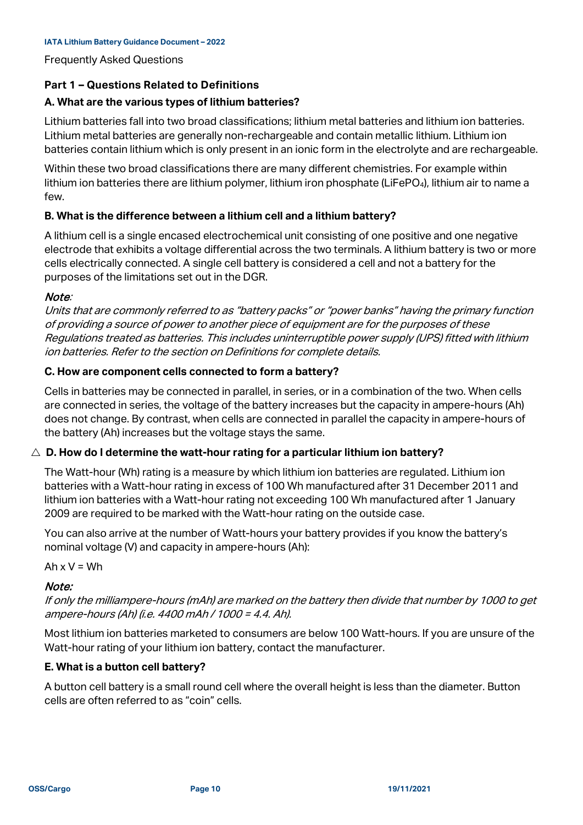Frequently Asked Questions

#### **Part 1 – Questions Related to Definitions**

#### **A. What are the various types of lithium batteries?**

Lithium batteries fall into two broad classifications; lithium metal batteries and lithium ion batteries. Lithium metal batteries are generally non-rechargeable and contain metallic lithium. Lithium ion batteries contain lithium which is only present in an ionic form in the electrolyte and are rechargeable.

Within these two broad classifications there are many different chemistries. For example within lithium ion batteries there are lithium polymer, lithium iron phosphate (LiFePO<sub>4</sub>), lithium air to name a few.

## **B. What is the difference between a lithium cell and a lithium battery?**

A lithium cell is a single encased electrochemical unit consisting of one positive and one negative electrode that exhibits a voltage differential across the two terminals. A lithium battery is two or more cells electrically connected. A single cell battery is considered a cell and not a battery for the purposes of the limitations set out in the DGR.

#### Note:

Units that are commonly referred to as "battery packs" or "power banks" having the primary function of providing a source of power to another piece of equipment are for the purposes of these Regulations treated as batteries. This includes uninterruptible power supply (UPS) fitted with lithium ion batteries. Refer to the section on Definitions for complete details.

#### **C. How are component cells connected to form a battery?**

Cells in batteries may be connected in parallel, in series, or in a combination of the two. When cells are connected in series, the voltage of the battery increases but the capacity in ampere-hours (Ah) does not change. By contrast, when cells are connected in parallel the capacity in ampere-hours of the battery (Ah) increases but the voltage stays the same.

#### $\triangle$  D. How do I determine the watt-hour rating for a particular lithium ion battery?

The Watt-hour (Wh) rating is a measure by which lithium ion batteries are regulated. Lithium ion batteries with a Watt-hour rating in excess of 100 Wh manufactured after 31 December 2011 and lithium ion batteries with a Watt-hour rating not exceeding 100 Wh manufactured after 1 January 2009 are required to be marked with the Watt-hour rating on the outside case.

You can also arrive at the number of Watt-hours your battery provides if you know the battery's nominal voltage (V) and capacity in ampere-hours (Ah):

Ah  $x V = Wh$ 

#### Note:

If only the milliampere-hours (mAh) are marked on the battery then divide that number by 1000 to get ampere-hours (Ah) (i.e. 4400 mAh / 1000 = 4.4. Ah).

Most lithium ion batteries marketed to consumers are below 100 Watt-hours. If you are unsure of the Watt-hour rating of your lithium ion battery, contact the manufacturer.

#### **E. What is a button cell battery?**

A button cell battery is a small round cell where the overall height is less than the diameter. Button cells are often referred to as "coin" cells.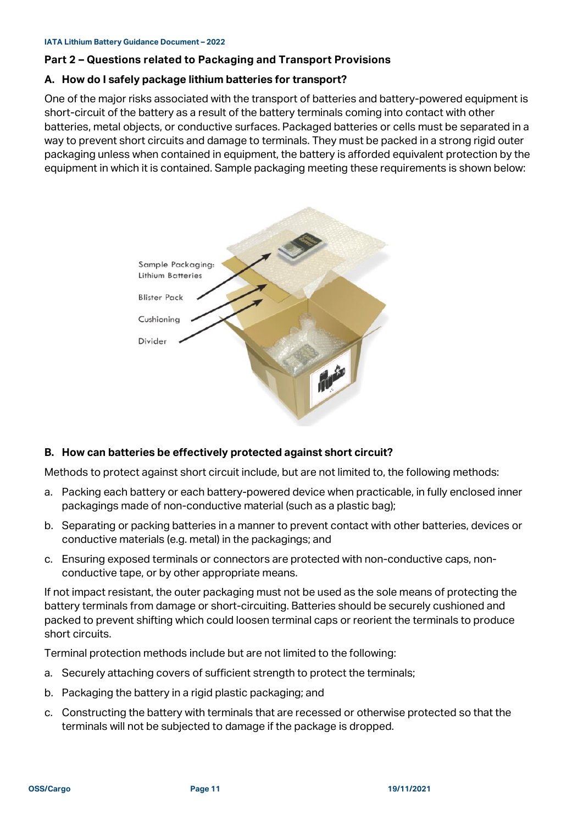#### **Part 2 – Questions related to Packaging and Transport Provisions**

#### **A. How do I safely package lithium batteries for transport?**

One of the major risks associated with the transport of batteries and battery-powered equipment is short-circuit of the battery as a result of the battery terminals coming into contact with other batteries, metal objects, or conductive surfaces. Packaged batteries or cells must be separated in a way to prevent short circuits and damage to terminals. They must be packed in a strong rigid outer packaging unless when contained in equipment, the battery is afforded equivalent protection by the equipment in which it is contained. Sample packaging meeting these requirements is shown below:



#### **B. How can batteries be effectively protected against short circuit?**

Methods to protect against short circuit include, but are not limited to, the following methods:

- a. Packing each battery or each battery-powered device when practicable, in fully enclosed inner packagings made of non-conductive material (such as a plastic bag);
- b. Separating or packing batteries in a manner to prevent contact with other batteries, devices or conductive materials (e.g. metal) in the packagings; and
- c. Ensuring exposed terminals or connectors are protected with non-conductive caps, nonconductive tape, or by other appropriate means.

If not impact resistant, the outer packaging must not be used as the sole means of protecting the battery terminals from damage or short-circuiting. Batteries should be securely cushioned and packed to prevent shifting which could loosen terminal caps or reorient the terminals to produce short circuits.

Terminal protection methods include but are not limited to the following:

- a. Securely attaching covers of sufficient strength to protect the terminals;
- b. Packaging the battery in a rigid plastic packaging; and
- c. Constructing the battery with terminals that are recessed or otherwise protected so that the terminals will not be subjected to damage if the package is dropped.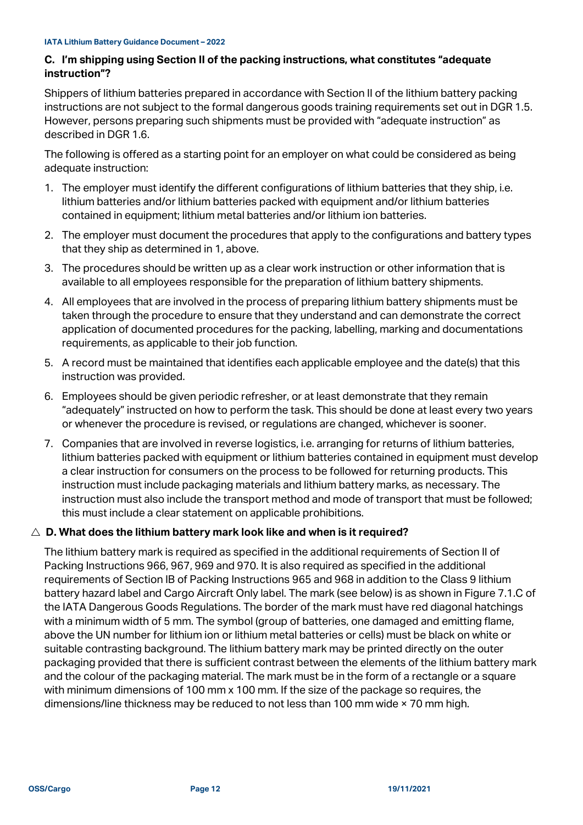#### **C. I'm shipping using Section II of the packing instructions, what constitutes "adequate instruction"?**

Shippers of lithium batteries prepared in accordance with Section II of the lithium battery packing instructions are not subject to the formal dangerous goods training requirements set out in DGR 1.5. However, persons preparing such shipments must be provided with "adequate instruction" as described in DGR 1.6.

The following is offered as a starting point for an employer on what could be considered as being adequate instruction:

- 1. The employer must identify the different configurations of lithium batteries that they ship, i.e. lithium batteries and/or lithium batteries packed with equipment and/or lithium batteries contained in equipment; lithium metal batteries and/or lithium ion batteries.
- 2. The employer must document the procedures that apply to the configurations and battery types that they ship as determined in 1, above.
- 3. The procedures should be written up as a clear work instruction or other information that is available to all employees responsible for the preparation of lithium battery shipments.
- 4. All employees that are involved in the process of preparing lithium battery shipments must be taken through the procedure to ensure that they understand and can demonstrate the correct application of documented procedures for the packing, labelling, marking and documentations requirements, as applicable to their job function.
- 5. A record must be maintained that identifies each applicable employee and the date(s) that this instruction was provided.
- 6. Employees should be given periodic refresher, or at least demonstrate that they remain "adequately" instructed on how to perform the task. This should be done at least every two years or whenever the procedure is revised, or regulations are changed, whichever is sooner.
- 7. Companies that are involved in reverse logistics, i.e. arranging for returns of lithium batteries, lithium batteries packed with equipment or lithium batteries contained in equipment must develop a clear instruction for consumers on the process to be followed for returning products. This instruction must include packaging materials and lithium battery marks, as necessary. The instruction must also include the transport method and mode of transport that must be followed; this must include a clear statement on applicable prohibitions.

## **D. What does the lithium battery mark look like and when is it required?**

The lithium battery mark is required as specified in the additional requirements of Section II of Packing Instructions 966, 967, 969 and 970. It is also required as specified in the additional requirements of Section IB of Packing Instructions 965 and 968 in addition to the Class 9 lithium battery hazard label and Cargo Aircraft Only label. The mark (see below) is as shown in Figure 7.1.C of the IATA Dangerous Goods Regulations. The border of the mark must have red diagonal hatchings with a minimum width of 5 mm. The symbol (group of batteries, one damaged and emitting flame, above the UN number for lithium ion or lithium metal batteries or cells) must be black on white or suitable contrasting background. The lithium battery mark may be printed directly on the outer packaging provided that there is sufficient contrast between the elements of the lithium battery mark and the colour of the packaging material. The mark must be in the form of a rectangle or a square with minimum dimensions of 100 mm x 100 mm. If the size of the package so requires, the dimensions/line thickness may be reduced to not less than 100 mm wide × 70 mm high.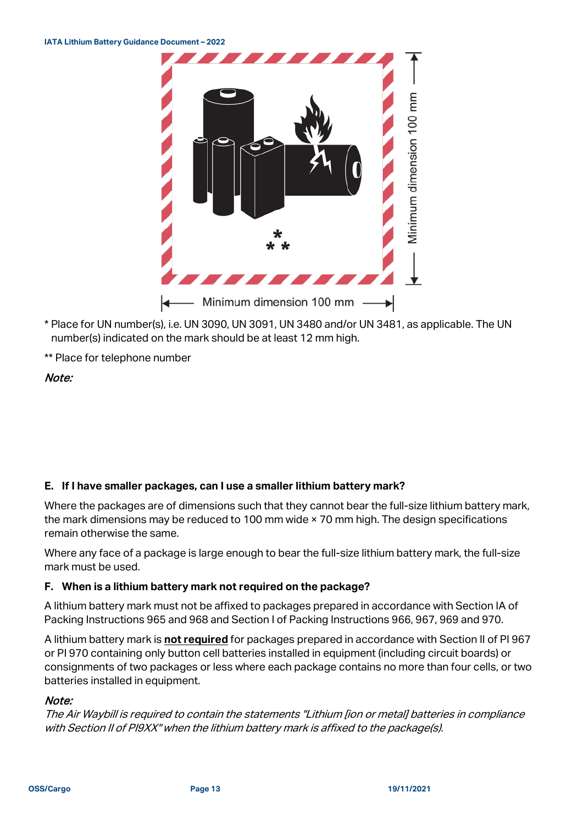

- \* Place for UN number(s), i.e. UN 3090, UN 3091, UN 3480 and/or UN 3481, as applicable. The UN number(s) indicated on the mark should be at least 12 mm high.
- \*\* Place for telephone number

## Note:

#### **E. If I have smaller packages, can I use a smaller lithium battery mark?**

Where the packages are of dimensions such that they cannot bear the full-size lithium battery mark, the mark dimensions may be reduced to 100 mm wide × 70 mm high. The design specifications remain otherwise the same.

Where any face of a package is large enough to bear the full-size lithium battery mark, the full-size mark must be used.

#### **F. When is a lithium battery mark not required on the package?**

A lithium battery mark must not be affixed to packages prepared in accordance with Section IA of Packing Instructions 965 and 968 and Section I of Packing Instructions 966, 967, 969 and 970.

A lithium battery mark is **not required** for packages prepared in accordance with Section II of PI 967 or PI 970 containing only button cell batteries installed in equipment (including circuit boards) or consignments of two packages or less where each package contains no more than four cells, or two batteries installed in equipment.

#### Note:

The Air Waybill is required to contain the statements "Lithium [ion or metal] batteries in compliance with Section II of PI9XX" when the lithium battery mark is affixed to the package(s).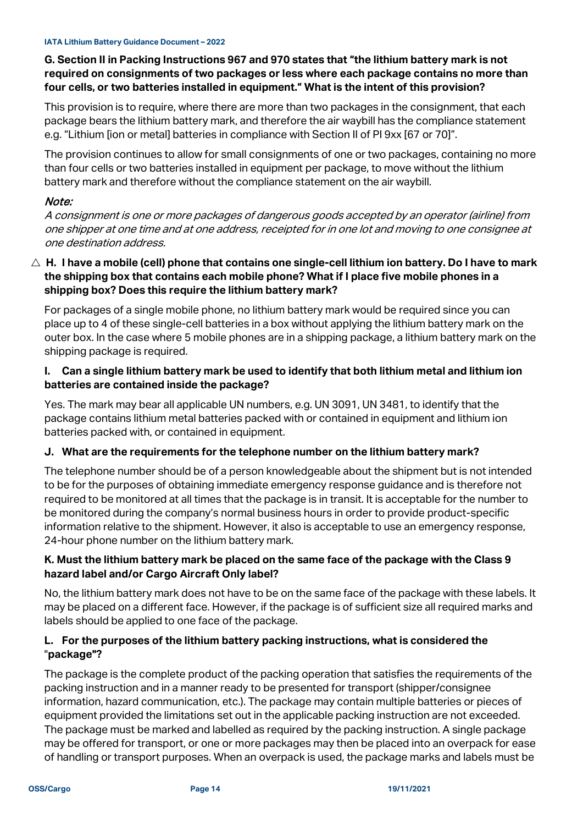## **G. Section II in Packing Instructions 967 and 970 states that "the lithium battery mark is not required on consignments of two packages or less where each package contains no more than four cells, or two batteries installed in equipment." What is the intent of this provision?**

This provision is to require, where there are more than two packages in the consignment, that each package bears the lithium battery mark, and therefore the air waybill has the compliance statement e.g. "Lithium [ion or metal] batteries in compliance with Section II of PI 9xx [67 or 70]".

The provision continues to allow for small consignments of one or two packages, containing no more than four cells or two batteries installed in equipment per package, to move without the lithium battery mark and therefore without the compliance statement on the air waybill.

## Note:

A consignment is one or more packages of dangerous goods accepted by an operator (airline) from one shipper at one time and at one address, receipted for in one lot and moving to one consignee at one destination address.

#### **H. I have a mobile (cell) phone that contains one single-cell lithium ion battery. Do I have to mark the shipping box that contains each mobile phone? What if I place five mobile phones in a shipping box? Does this require the lithium battery mark?**

For packages of a single mobile phone, no lithium battery mark would be required since you can place up to 4 of these single-cell batteries in a box without applying the lithium battery mark on the outer box. In the case where 5 mobile phones are in a shipping package, a lithium battery mark on the shipping package is required.

#### **I. Can a single lithium battery mark be used to identify that both lithium metal and lithium ion batteries are contained inside the package?**

Yes. The mark may bear all applicable UN numbers, e.g. UN 3091, UN 3481, to identify that the package contains lithium metal batteries packed with or contained in equipment and lithium ion batteries packed with, or contained in equipment.

## **J. What are the requirements for the telephone number on the lithium battery mark?**

The telephone number should be of a person knowledgeable about the shipment but is not intended to be for the purposes of obtaining immediate emergency response guidance and is therefore not required to be monitored at all times that the package is in transit. It is acceptable for the number to be monitored during the company's normal business hours in order to provide product-specific information relative to the shipment. However, it also is acceptable to use an emergency response, 24-hour phone number on the lithium battery mark.

## **K. Must the lithium battery mark be placed on the same face of the package with the Class 9 hazard label and/or Cargo Aircraft Only label?**

No, the lithium battery mark does not have to be on the same face of the package with these labels. It may be placed on a different face. However, if the package is of sufficient size all required marks and labels should be applied to one face of the package.

#### **L. For the purposes of the lithium battery packing instructions, what is considered the** "**package"?**

The package is the complete product of the packing operation that satisfies the requirements of the packing instruction and in a manner ready to be presented for transport (shipper/consignee information, hazard communication, etc.). The package may contain multiple batteries or pieces of equipment provided the limitations set out in the applicable packing instruction are not exceeded. The package must be marked and labelled as required by the packing instruction. A single package may be offered for transport, or one or more packages may then be placed into an overpack for ease of handling or transport purposes. When an overpack is used, the package marks and labels must be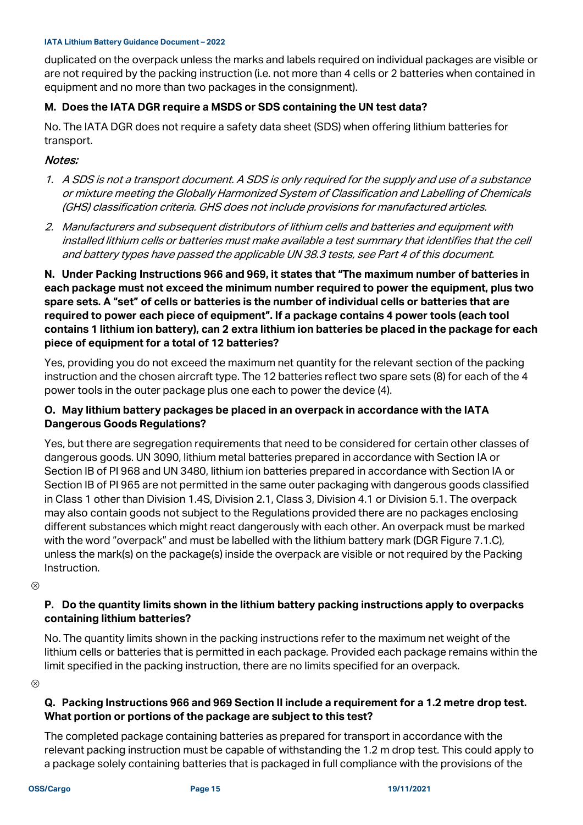duplicated on the overpack unless the marks and labels required on individual packages are visible or are not required by the packing instruction (i.e. not more than 4 cells or 2 batteries when contained in equipment and no more than two packages in the consignment).

#### **M. Does the IATA DGR require a MSDS or SDS containing the UN test data?**

No. The IATA DGR does not require a safety data sheet (SDS) when offering lithium batteries for transport.

#### Notes:

- 1. A SDS is not a transport document. A SDS is only required for the supply and use of a substance or mixture meeting the Globally Harmonized System of Classification and Labelling of Chemicals (GHS) classification criteria. GHS does not include provisions for manufactured articles.
- 2. Manufacturers and subsequent distributors of lithium cells and batteries and equipment with installed lithium cells or batteries must make available a test summary that identifies that the cell and battery types have passed the applicable UN 38.3 tests, see Part 4 of this document.

**N. Under Packing Instructions 966 and 969, it states that "The maximum number of batteries in each package must not exceed the minimum number required to power the equipment, plus two spare sets. A "set" of cells or batteries is the number of individual cells or batteries that are required to power each piece of equipment". If a package contains 4 power tools (each tool contains 1 lithium ion battery), can 2 extra lithium ion batteries be placed in the package for each piece of equipment for a total of 12 batteries?**

Yes, providing you do not exceed the maximum net quantity for the relevant section of the packing instruction and the chosen aircraft type. The 12 batteries reflect two spare sets (8) for each of the 4 power tools in the outer package plus one each to power the device (4).

#### **O. May lithium battery packages be placed in an overpack in accordance with the IATA Dangerous Goods Regulations?**

Yes, but there are segregation requirements that need to be considered for certain other classes of dangerous goods. UN 3090, lithium metal batteries prepared in accordance with Section IA or Section IB of PI 968 and UN 3480, lithium ion batteries prepared in accordance with Section IA or Section IB of PI 965 are not permitted in the same outer packaging with dangerous goods classified in Class 1 other than Division 1.4S, Division 2.1, Class 3, Division 4.1 or Division 5.1. The overpack may also contain goods not subject to the Regulations provided there are no packages enclosing different substances which might react dangerously with each other. An overpack must be marked with the word "overpack" and must be labelled with the lithium battery mark (DGR Figure 7.1.C), unless the mark(s) on the package(s) inside the overpack are visible or not required by the Packing Instruction.

 $\otimes$ 

#### **P. Do the quantity limits shown in the lithium battery packing instructions apply to overpacks containing lithium batteries?**

No. The quantity limits shown in the packing instructions refer to the maximum net weight of the lithium cells or batteries that is permitted in each package. Provided each package remains within the limit specified in the packing instruction, there are no limits specified for an overpack.

 $\otimes$ 

## **Q. Packing Instructions 966 and 969 Section II include a requirement for a 1.2 metre drop test. What portion or portions of the package are subject to this test?**

The completed package containing batteries as prepared for transport in accordance with the relevant packing instruction must be capable of withstanding the 1.2 m drop test. This could apply to a package solely containing batteries that is packaged in full compliance with the provisions of the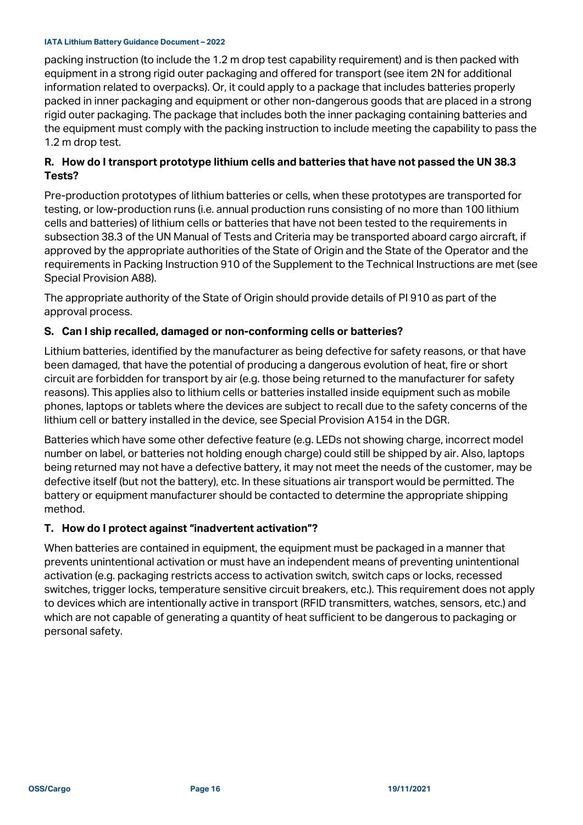packing instruction (to include the 1.2 m drop test capability requirement) and is then packed with equipment in a strong rigid outer packaging and offered for transport (see item 2N for additional information related to overpacks). Or, it could apply to a package that includes batteries properly packed in inner packaging and equipment or other non-dangerous goods that are placed in a strong rigid outer packaging. The package that includes both the inner packaging containing batteries and the equipment must comply with the packing instruction to include meeting the capability to pass the 1.2 m drop test.

#### **R. How do I transport prototype lithium cells and batteries that have not passed the UN 38.3 Tests?**

Pre-production prototypes of lithium batteries or cells, when these prototypes are transported for testing, or low-production runs (i.e. annual production runs consisting of no more than 100 lithium cells and batteries) of lithium cells or batteries that have not been tested to the requirements in subsection 38.3 of the UN Manual of Tests and Criteria may be transported aboard cargo aircraft, if approved by the appropriate authorities of the State of Origin and the State of the Operator and the requirements in Packing Instruction 910 of the Supplement to the Technical Instructions are met (see Special Provision A88).

The appropriate authority of the State of Origin should provide details of PI 910 as part of the approval process.

#### **S. Can I ship recalled, damaged or non-conforming cells or batteries?**

Lithium batteries, identified by the manufacturer as being defective for safety reasons, or that have been damaged, that have the potential of producing a dangerous evolution of heat, fire or short circuit are forbidden for transport by air (e.g. those being returned to the manufacturer for safety reasons). This applies also to lithium cells or batteries installed inside equipment such as mobile phones, laptops or tablets where the devices are subject to recall due to the safety concerns of the lithium cell or battery installed in the device, see Special Provision A154 in the DGR.

Batteries which have some other defective feature (e.g. LEDs not showing charge, incorrect model number on label, or batteries not holding enough charge) could still be shipped by air. Also, laptops being returned may not have a defective battery, it may not meet the needs of the customer, may be defective itself (but not the battery), etc. In these situations air transport would be permitted. The battery or equipment manufacturer should be contacted to determine the appropriate shipping method.

#### **T. How do I protect against "inadvertent activation"?**

When batteries are contained in equipment, the equipment must be packaged in a manner that prevents unintentional activation or must have an independent means of preventing unintentional activation (e.g. packaging restricts access to activation switch, switch caps or locks, recessed switches, trigger locks, temperature sensitive circuit breakers, etc.). This requirement does not apply to devices which are intentionally active in transport (RFID transmitters, watches, sensors, etc.) and which are not capable of generating a quantity of heat sufficient to be dangerous to packaging or personal safety.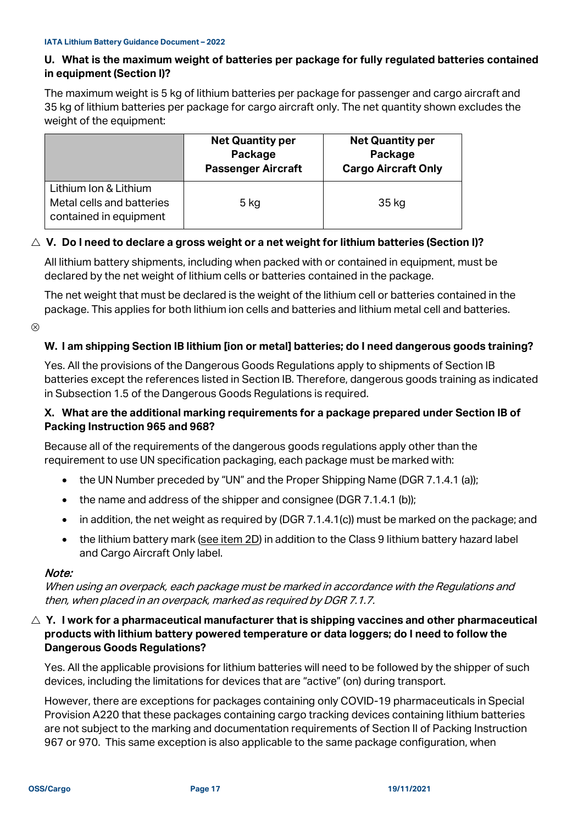#### **U. What is the maximum weight of batteries per package for fully regulated batteries contained in equipment (Section I)?**

The maximum weight is 5 kg of lithium batteries per package for passenger and cargo aircraft and 35 kg of lithium batteries per package for cargo aircraft only. The net quantity shown excludes the weight of the equipment:

|                                                                              | <b>Net Quantity per</b><br>Package<br><b>Passenger Aircraft</b> | <b>Net Quantity per</b><br>Package<br><b>Cargo Aircraft Only</b> |
|------------------------------------------------------------------------------|-----------------------------------------------------------------|------------------------------------------------------------------|
| Lithium Ion & Lithium<br>Metal cells and batteries<br>contained in equipment | 5 kg                                                            | 35 kg                                                            |

#### △ **V.** Do I need to declare a gross weight or a net weight for lithium batteries (Section I)?

All lithium battery shipments, including when packed with or contained in equipment, must be declared by the net weight of lithium cells or batteries contained in the package.

The net weight that must be declared is the weight of the lithium cell or batteries contained in the package. This applies for both lithium ion cells and batteries and lithium metal cell and batteries.

 $\otimes$ 

#### **W. I am shipping Section IB lithium [ion or metal] batteries; do I need dangerous goods training?**

Yes. All the provisions of the Dangerous Goods Regulations apply to shipments of Section IB batteries except the references listed in Section IB. Therefore, dangerous goods training as indicated in Subsection 1.5 of the Dangerous Goods Regulations is required.

#### **X. What are the additional marking requirements for a package prepared under Section IB of Packing Instruction 965 and 968?**

Because all of the requirements of the dangerous goods regulations apply other than the requirement to use UN specification packaging, each package must be marked with:

- the UN Number preceded by "UN" and the Proper Shipping Name (DGR 7.1.4.1 (a));
- the name and address of the shipper and consignee (DGR 7.1.4.1 (b));
- in addition, the net weight as required by (DGR 7.1.4.1(c)) must be marked on the package; and
- the lithium battery mark (see item 2D) in addition to the Class 9 lithium battery hazard label and Cargo Aircraft Only label.

#### Note:

When using an overpack, each package must be marked in accordance with the Regulations and then, when placed in an overpack, marked as required by DGR 7.1.7.

 $\triangle$  Y. I work for a pharmaceutical manufacturer that is shipping vaccines and other pharmaceutical **products with lithium battery powered temperature or data loggers; do I need to follow the Dangerous Goods Regulations?**

Yes. All the applicable provisions for lithium batteries will need to be followed by the shipper of such devices, including the limitations for devices that are "active" (on) during transport.

However, there are exceptions for packages containing only COVID-19 pharmaceuticals in Special Provision A220 that these packages containing cargo tracking devices containing lithium batteries are not subject to the marking and documentation requirements of Section II of Packing Instruction 967 or 970. This same exception is also applicable to the same package configuration, when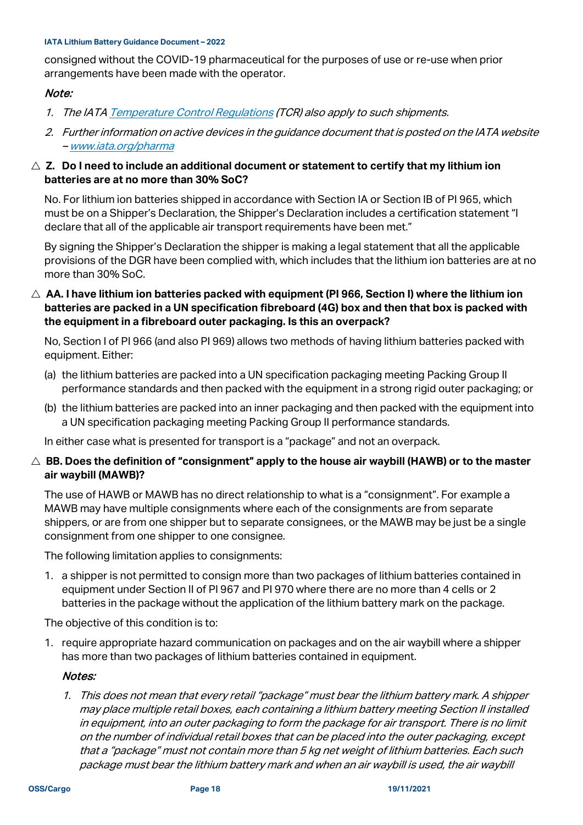consigned without the COVID-19 pharmaceutical for the purposes of use or re-use when prior arrangements have been made with the operator.

#### Note:

- 1. The IAT[A Temperature Control Regulations](http://www.iata.org/tcr) (TCR) also apply to such shipments.
- 2. Further information on active devices in the guidance document that is posted on the IATA website – [www.iata.org/pharma](http://www.iata.org/pharma)

#### △ Z. Do I need to include an additional document or statement to certify that my lithium ion **batteries are at no more than 30% SoC?**

No. For lithium ion batteries shipped in accordance with Section IA or Section IB of PI 965, which must be on a Shipper's Declaration, the Shipper's Declaration includes a certification statement "I declare that all of the applicable air transport requirements have been met."

By signing the Shipper's Declaration the shipper is making a legal statement that all the applicable provisions of the DGR have been complied with, which includes that the lithium ion batteries are at no more than 30% SoC.

 **AA. I have lithium ion batteries packed with equipment (PI 966, Section I) where the lithium ion batteries are packed in a UN specification fibreboard (4G) box and then that box is packed with the equipment in a fibreboard outer packaging. Is this an overpack?**

No, Section I of PI 966 (and also PI 969) allows two methods of having lithium batteries packed with equipment. Either:

- (a) the lithium batteries are packed into a UN specification packaging meeting Packing Group II performance standards and then packed with the equipment in a strong rigid outer packaging; or
- (b) the lithium batteries are packed into an inner packaging and then packed with the equipment into a UN specification packaging meeting Packing Group II performance standards.

In either case what is presented for transport is a "package" and not an overpack.

#### **BB. Does the definition of "consignment" apply to the house air waybill (HAWB) or to the master air waybill (MAWB)?**

The use of HAWB or MAWB has no direct relationship to what is a "consignment". For example a MAWB may have multiple consignments where each of the consignments are from separate shippers, or are from one shipper but to separate consignees, or the MAWB may be just be a single consignment from one shipper to one consignee.

The following limitation applies to consignments:

1. a shipper is not permitted to consign more than two packages of lithium batteries contained in equipment under Section II of PI 967 and PI 970 where there are no more than 4 cells or 2 batteries in the package without the application of the lithium battery mark on the package.

The objective of this condition is to:

1. require appropriate hazard communication on packages and on the air waybill where a shipper has more than two packages of lithium batteries contained in equipment.

#### Notes:

1. This does not mean that every retail "package" must bear the lithium battery mark. A shipper may place multiple retail boxes, each containing a lithium battery meeting Section II installed in equipment, into an outer packaging to form the package for air transport. There is no limit on the number of individual retail boxes that can be placed into the outer packaging, except that a "package" must not contain more than 5 kg net weight of lithium batteries. Each such package must bear the lithium battery mark and when an air waybill is used, the air waybill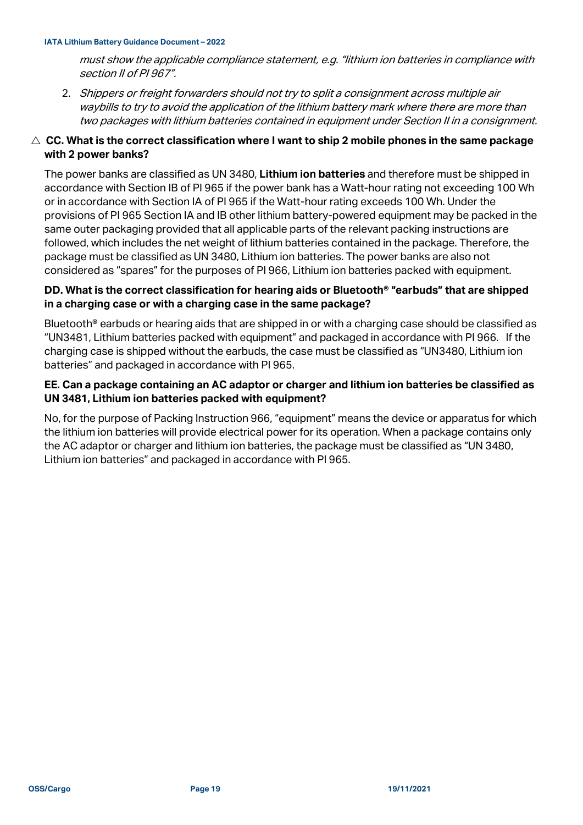must show the applicable compliance statement, e.g. "lithium ion batteries in compliance with section II of PI 967".

2. Shippers or freight forwarders should not try to split a consignment across multiple air waybills to try to avoid the application of the lithium battery mark where there are more than two packages with lithium batteries contained in equipment under Section II in a consignment.

#### $\triangle~$  CC. What is the correct classification where I want to ship 2 mobile phones in the same package **with 2 power banks?**

The power banks are classified as UN 3480, **Lithium ion batteries** and therefore must be shipped in accordance with Section IB of PI 965 if the power bank has a Watt-hour rating not exceeding 100 Wh or in accordance with Section IA of PI 965 if the Watt-hour rating exceeds 100 Wh. Under the provisions of PI 965 Section IA and IB other lithium battery-powered equipment may be packed in the same outer packaging provided that all applicable parts of the relevant packing instructions are followed, which includes the net weight of lithium batteries contained in the package. Therefore, the package must be classified as UN 3480, Lithium ion batteries. The power banks are also not considered as "spares" for the purposes of PI 966, Lithium ion batteries packed with equipment.

#### **DD. What is the correct classification for hearing aids or Bluetooth® "earbuds" that are shipped in a charging case or with a charging case in the same package?**

Bluetooth<sup>®</sup> earbuds or hearing aids that are shipped in or with a charging case should be classified as "UN3481, Lithium batteries packed with equipment" and packaged in accordance with PI 966. If the charging case is shipped without the earbuds, the case must be classified as "UN3480, Lithium ion batteries" and packaged in accordance with PI 965.

#### **EE. Can a package containing an AC adaptor or charger and lithium ion batteries be classified as UN 3481, Lithium ion batteries packed with equipment?**

No, for the purpose of Packing Instruction 966, "equipment" means the device or apparatus for which the lithium ion batteries will provide electrical power for its operation. When a package contains only the AC adaptor or charger and lithium ion batteries, the package must be classified as "UN 3480, Lithium ion batteries" and packaged in accordance with PI 965.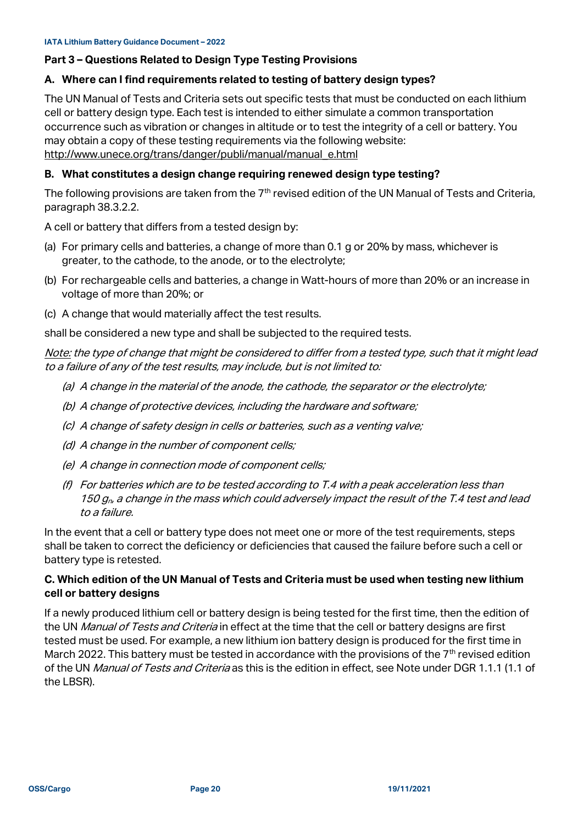#### **Part 3 – Questions Related to Design Type Testing Provisions**

#### **A. Where can I find requirements related to testing of battery design types?**

The UN Manual of Tests and Criteria sets out specific tests that must be conducted on each lithium cell or battery design type. Each test is intended to either simulate a common transportation occurrence such as vibration or changes in altitude or to test the integrity of a cell or battery. You may obtain a copy of these testing requirements via the following website: [http://www.unece.org/trans/danger/publi/manual/manual\\_e.html](http://www.unece.org/trans/danger/publi/manual/manual_e.html)

#### **B. What constitutes a design change requiring renewed design type testing?**

The following provisions are taken from the 7<sup>th</sup> revised edition of the UN Manual of Tests and Criteria, paragraph 38.3.2.2.

A cell or battery that differs from a tested design by:

- (a) For primary cells and batteries, a change of more than 0.1 g or 20% by mass, whichever is greater, to the cathode, to the anode, or to the electrolyte;
- (b) For rechargeable cells and batteries, a change in Watt-hours of more than 20% or an increase in voltage of more than 20%; or
- (c) A change that would materially affect the test results.

shall be considered a new type and shall be subjected to the required tests.

Note: the type of change that might be considered to differ from a tested type, such that it might lead to a failure of any of the test results, may include, but is not limited to:

- (a) A change in the material of the anode, the cathode, the separator or the electrolyte;
- (b) A change of protective devices, including the hardware and software;
- (c) A change of safety design in cells or batteries, such as a venting valve;
- (d) A change in the number of component cells;
- (e) A change in connection mode of component cells;
- (f) For batteries which are to be tested according to T.4 with a peak acceleration less than 150  $q_p$ , a change in the mass which could adversely impact the result of the T.4 test and lead to a failure.

In the event that a cell or battery type does not meet one or more of the test requirements, steps shall be taken to correct the deficiency or deficiencies that caused the failure before such a cell or battery type is retested.

#### **C. Which edition of the UN Manual of Tests and Criteria must be used when testing new lithium cell or battery designs**

If a newly produced lithium cell or battery design is being tested for the first time, then the edition of the UN Manual of Tests and Criteria in effect at the time that the cell or battery designs are first tested must be used. For example, a new lithium ion battery design is produced for the first time in March 2022. This battery must be tested in accordance with the provisions of the  $7<sup>th</sup>$  revised edition of the UN *Manual of Tests and Criteria* as this is the edition in effect, see Note under DGR 1.1.1 (1.1 of the LBSR).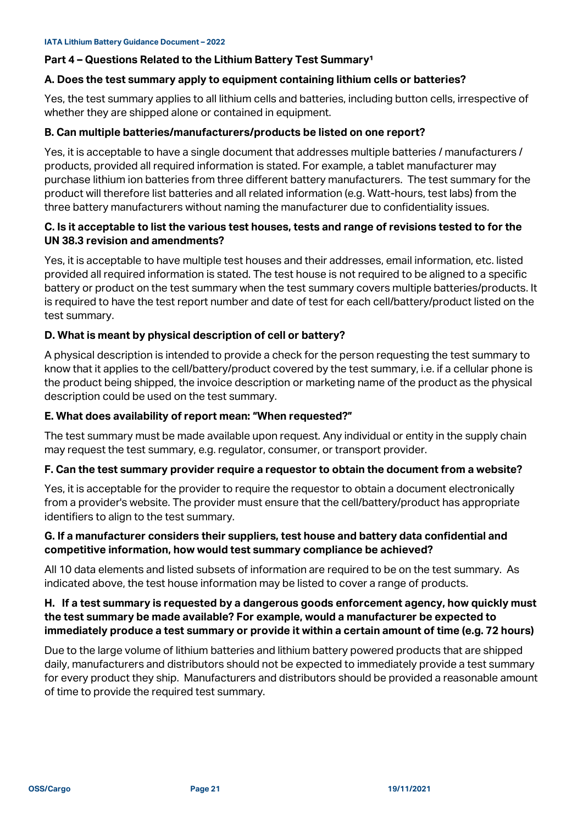#### <span id="page-20-0"></span>**Part 4 - Questions Related to the Lithium Battery Test Summary<sup>1</sup>**

#### **A. Does the test summary apply to equipment containing lithium cells or batteries?**

Yes, the test summary applies to all lithium cells and batteries, including button cells, irrespective of whether they are shipped alone or contained in equipment.

#### **B. Can multiple batteries/manufacturers/products be listed on one report?**

Yes, it is acceptable to have a single document that addresses multiple batteries / manufacturers / products, provided all required information is stated. For example, a tablet manufacturer may purchase lithium ion batteries from three different battery manufacturers. The test summary for the product will therefore list batteries and all related information (e.g. Watt-hours, test labs) from the three battery manufacturers without naming the manufacturer due to confidentiality issues.

#### **C. Is it acceptable to list the various test houses, tests and range of revisions tested to for the UN 38.3 revision and amendments?**

Yes, it is acceptable to have multiple test houses and their addresses, email information, etc. listed provided all required information is stated. The test house is not required to be aligned to a specific battery or product on the test summary when the test summary covers multiple batteries/products. It is required to have the test report number and date of test for each cell/battery/product listed on the test summary.

#### **D. What is meant by physical description of cell or battery?**

A physical description is intended to provide a check for the person requesting the test summary to know that it applies to the cell/battery/product covered by the test summary, i.e. if a cellular phone is the product being shipped, the invoice description or marketing name of the product as the physical description could be used on the test summary.

#### **E. What does availability of report mean: "When requested?"**

The test summary must be made available upon request. Any individual or entity in the supply chain may request the test summary, e.g. regulator, consumer, or transport provider.

#### **F. Can the test summary provider require a requestor to obtain the document from a website?**

Yes, it is acceptable for the provider to require the requestor to obtain a document electronically from a provider's website. The provider must ensure that the cell/battery/product has appropriate identifiers to align to the test summary.

#### **G. If a manufacturer considers their suppliers, test house and battery data confidential and competitive information, how would test summary compliance be achieved?**

All 10 data elements and listed subsets of information are required to be on the test summary. As indicated above, the test house information may be listed to cover a range of products.

#### **H. If a test summary is requested by a dangerous goods enforcement agency, how quickly must the test summary be made available? For example, would a manufacturer be expected to immediately produce a test summary or provide it within a certain amount of time (e.g. 72 hours)**

Due to the large volume of lithium batteries and lithium battery powered products that are shipped daily, manufacturers and distributors should not be expected to immediately provide a test summary for every product they ship. Manufacturers and distributors should be provided a reasonable amount of time to provide the required test summary.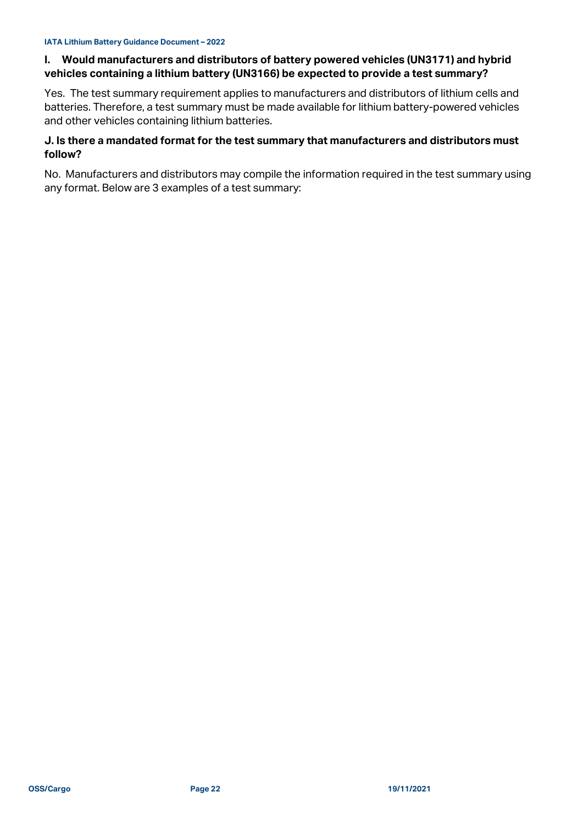#### **I. Would manufacturers and distributors of battery powered vehicles (UN3171) and hybrid vehicles containing a lithium battery (UN3166) be expected to provide a test summary?**

Yes. The test summary requirement applies to manufacturers and distributors of lithium cells and batteries. Therefore, a test summary must be made available for lithium battery-powered vehicles and other vehicles containing lithium batteries.

#### **J. Is there a mandated format for the test summary that manufacturers and distributors must follow?**

No. Manufacturers and distributors may compile the information required in the test summary using any format. Below are 3 examples of a test summary: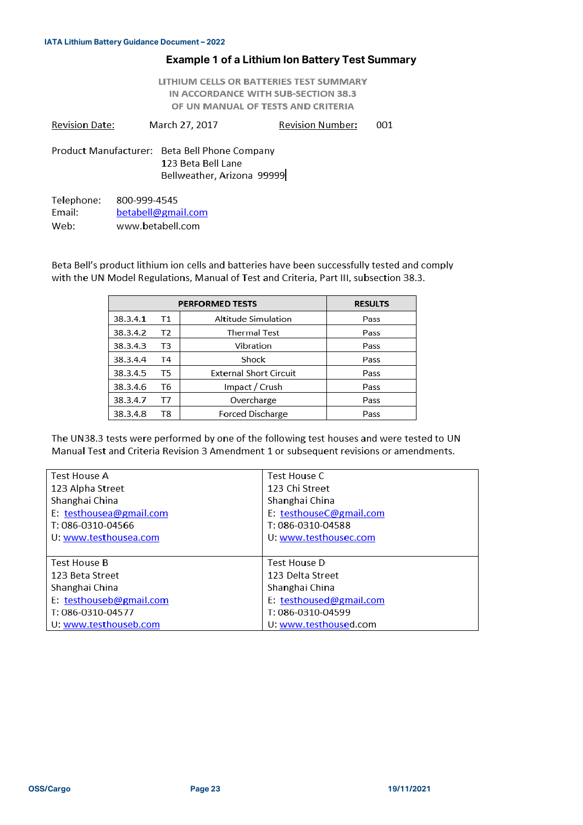#### **Example 1 of a Lithium Ion Battery Test Summary**

LITHIUM CELLS OR BATTERIES TEST SUMMARY IN ACCORDANCE WITH SUB-SECTION 38.3 OF UN MANUAL OF TESTS AND CRITERIA

**Revision Date:** March 27, 2017 **Revision Number:** 001 Product Manufacturer: Beta Bell Phone Company

123 Beta Bell Lane Bellweather, Arizona 99999

Telephone: 800-999-4545 Email: betabell@gmail.com Web: www.betabell.com

Beta Bell's product lithium ion cells and batteries have been successfully tested and comply with the UN Model Regulations, Manual of Test and Criteria, Part III, subsection 38.3.

|          | <b>PERFORMED TESTS</b> | <b>RESULTS</b>                |      |
|----------|------------------------|-------------------------------|------|
| 38.3.4.1 | T1                     | Altitude Simulation           | Pass |
| 38.3.4.2 | T2                     | <b>Thermal Test</b>           | Pass |
| 38.3.4.3 | T3                     | Vibration                     | Pass |
| 38.3.4.4 | Τ4                     | Shock                         | Pass |
| 38.3.4.5 | T5                     | <b>External Short Circuit</b> | Pass |
| 38.3.4.6 | T6                     | Impact / Crush                | Pass |
| 38.3.4.7 | T7                     | Overcharge                    | Pass |
| 38.3.4.8 | T8                     | <b>Forced Discharge</b>       | Pass |

The UN38.3 tests were performed by one of the following test houses and were tested to UN Manual Test and Criteria Revision 3 Amendment 1 or subsequent revisions or amendments.

| <b>Test House A</b>     | Test House C            |
|-------------------------|-------------------------|
| 123 Alpha Street        | 123 Chi Street          |
| Shanghai China          | Shanghai China          |
| E: testhousea@gmail.com | E: testhouseC@gmail.com |
| T: 086-0310-04566       | T: 086-0310-04588       |
| U: www.testhousea.com   | U: www.testhousec.com   |
|                         |                         |
| <b>Test House B</b>     | Test House D            |
| 123 Beta Street         | 123 Delta Street        |
| Shanghai China          | Shanghai China          |
| E: testhouseb@gmail.com | E: testhoused@gmail.com |
| T: 086-0310-04577       | T: 086-0310-04599       |
| U. www.testhouseb.com   | U: www.testhoused.com   |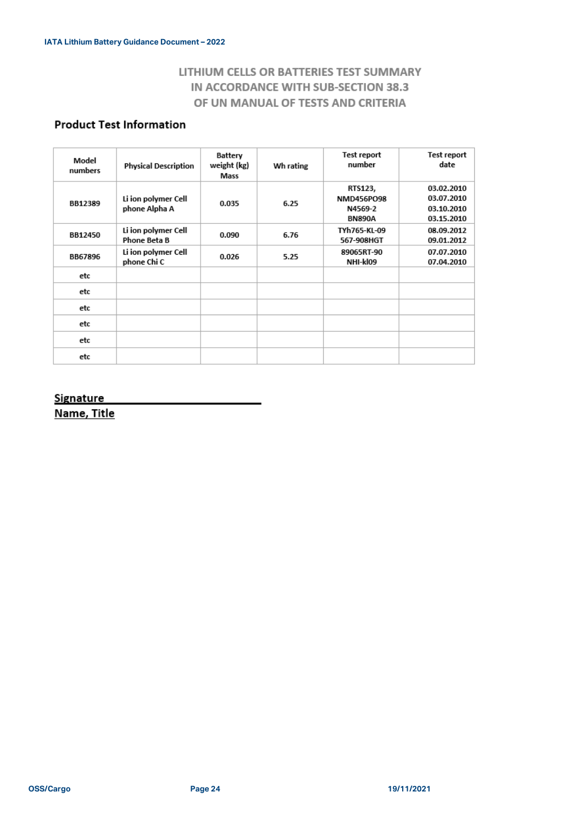## LITHIUM CELLS OR BATTERIES TEST SUMMARY IN ACCORDANCE WITH SUB-SECTION 38.3 OF UN MANUAL OF TESTS AND CRITERIA

## **Product Test Information**

| Model<br>numbers | <b>Physical Description</b>          | Battery<br>weight (kg)<br>Mass | Wh rating | Test report<br>number                             | Test report<br>date                                  |
|------------------|--------------------------------------|--------------------------------|-----------|---------------------------------------------------|------------------------------------------------------|
| BB12389          | Li ion polymer Cell<br>phone Alpha A | 0.035                          | 6.25      | RTS123,<br>NMD456PO98<br>N4569-2<br><b>BN890A</b> | 03.02.2010<br>03.07.2010<br>03.10.2010<br>03.15.2010 |
| BB12450          | Li ion polymer Cell<br>Phone Beta B  | 0.090                          | 6.76      | TYh765-KL-09<br>567-908HGT                        | 08.09.2012<br>09.01.2012                             |
| <b>BB67896</b>   | Li ion polymer Cell<br>phone Chi C   | 0.026                          | 5.25      | 89065RT-90<br>NHI-kl09                            | 07.07.2010<br>07.04.2010                             |
| etc              |                                      |                                |           |                                                   |                                                      |
| etc              |                                      |                                |           |                                                   |                                                      |
| etc              |                                      |                                |           |                                                   |                                                      |
| etc              |                                      |                                |           |                                                   |                                                      |
| etc              |                                      |                                |           |                                                   |                                                      |
| etc              |                                      |                                |           |                                                   |                                                      |

#### **Signature**

Name, Title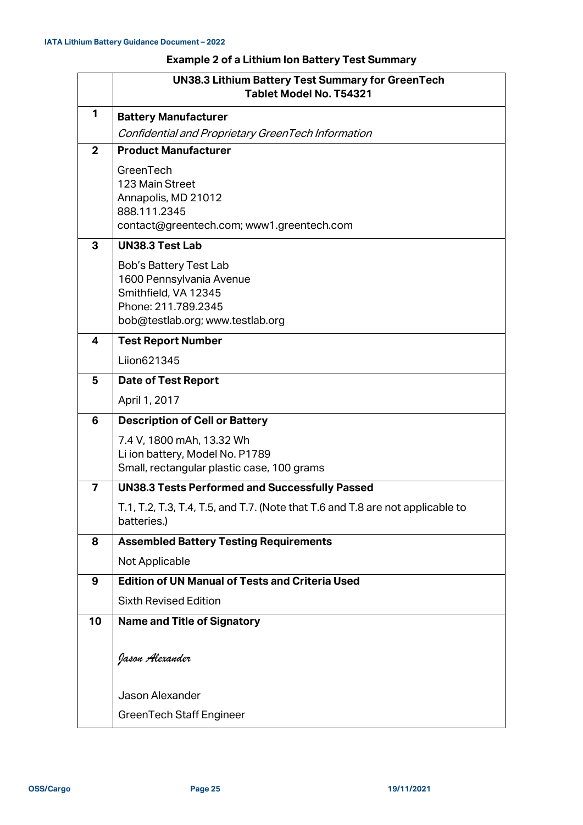## **Example 2 of a Lithium Ion Battery Test Summary**

|                | <b>UN38.3 Lithium Battery Test Summary for GreenTech</b><br>Tablet Model No. T54321                                                   |  |  |
|----------------|---------------------------------------------------------------------------------------------------------------------------------------|--|--|
| 1              | <b>Battery Manufacturer</b>                                                                                                           |  |  |
|                | Confidential and Proprietary GreenTech Information                                                                                    |  |  |
| $\overline{2}$ | <b>Product Manufacturer</b>                                                                                                           |  |  |
|                | GreenTech<br>123 Main Street<br>Annapolis, MD 21012<br>888.111.2345<br>contact@greentech.com; www1.greentech.com                      |  |  |
| 3              | <b>UN38.3 Test Lab</b>                                                                                                                |  |  |
|                | Bob's Battery Test Lab<br>1600 Pennsylvania Avenue<br>Smithfield, VA 12345<br>Phone: 211.789.2345<br>bob@testlab.org; www.testlab.org |  |  |
| 4              | <b>Test Report Number</b>                                                                                                             |  |  |
|                | Liion621345                                                                                                                           |  |  |
| 5              | <b>Date of Test Report</b>                                                                                                            |  |  |
|                | April 1, 2017                                                                                                                         |  |  |
| 6              | <b>Description of Cell or Battery</b>                                                                                                 |  |  |
|                | 7.4 V, 1800 mAh, 13.32 Wh<br>Li ion battery, Model No. P1789<br>Small, rectangular plastic case, 100 grams                            |  |  |
| $\overline{7}$ | <b>UN38.3 Tests Performed and Successfully Passed</b>                                                                                 |  |  |
|                | T.1, T.2, T.3, T.4, T.5, and T.7. (Note that T.6 and T.8 are not applicable to<br>batteries.)                                         |  |  |
| 8              | <b>Assembled Battery Testing Requirements</b>                                                                                         |  |  |
|                | Not Applicable                                                                                                                        |  |  |
| 9              | <b>Edition of UN Manual of Tests and Criteria Used</b>                                                                                |  |  |
|                | <b>Sixth Revised Edition</b>                                                                                                          |  |  |
| 10             | <b>Name and Title of Signatory</b>                                                                                                    |  |  |
|                | Jason <del>A</del> lexander                                                                                                           |  |  |
|                | Jason Alexander                                                                                                                       |  |  |
|                | <b>GreenTech Staff Engineer</b>                                                                                                       |  |  |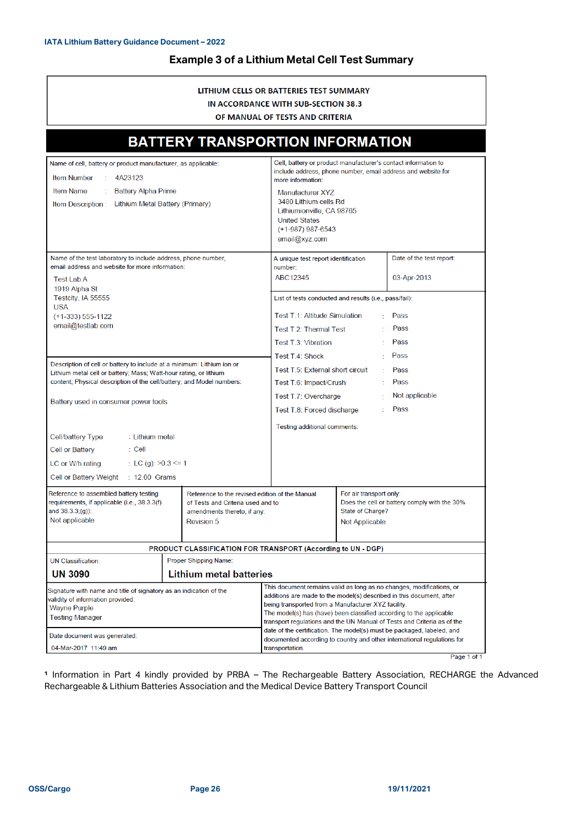#### **Example 3 of a Lithium Metal Cell Test Summary**

#### LITHIUM CELLS OR BATTERIES TEST SUMMARY IN ACCORDANCE WITH SUB-SECTION 38.3 OF MANUAL OF TESTS AND CRITERIA

| <b>BATTERY TRANSPORTION INFORMATION</b>                                                                                                                                                                                                                                 |                                                                                                                                                                                                                                                                                                                                                       |                                                                                                                                                                        |                                                                                                               |             |
|-------------------------------------------------------------------------------------------------------------------------------------------------------------------------------------------------------------------------------------------------------------------------|-------------------------------------------------------------------------------------------------------------------------------------------------------------------------------------------------------------------------------------------------------------------------------------------------------------------------------------------------------|------------------------------------------------------------------------------------------------------------------------------------------------------------------------|---------------------------------------------------------------------------------------------------------------|-------------|
| Name of cell, battery or product manufacturer, as applicable:<br><b>Item Number</b><br>4A23123<br><b>Item Name</b><br><b>Battery Alpha Prime</b><br>Lithium Metal Battery (Primary)<br>Item Description :                                                               | Cell, battery or product manufacturer's contact information to<br>include address, phone number, email address and website for<br>more information:<br>Manufacturer XY7<br>3480 Lithium cells Rd<br>Lithiumionville, CA 98765<br><b>United States</b><br>$(+1-987)$ 987-6543<br>email@xyz.com                                                         |                                                                                                                                                                        |                                                                                                               |             |
| Name of the test laboratory to include address, phone number,<br>email address and website for more information:<br><b>Test Lab A</b>                                                                                                                                   | A unique test report identification<br>number:<br>ABC12345                                                                                                                                                                                                                                                                                            |                                                                                                                                                                        | Date of the test report:<br>03-Apr-2013                                                                       |             |
| 1919 Alpha St<br>Testcity, IA 55555<br><b>USA</b><br>(+1-333) 555-1122<br>email@testlab.com                                                                                                                                                                             |                                                                                                                                                                                                                                                                                                                                                       | List of tests conducted and results (i.e., pass/fail):<br>Test T.1: Altitude Simulation<br>Pass<br>Pass<br>Test T.2: Thermal Test<br>Pass<br>÷.<br>Test T.3: Vibration |                                                                                                               |             |
| Description of cell or battery to include at a minimum: Lithium ion or<br>Lithium metal cell or battery; Mass; Watt-hour rating, or lithium<br>content; Physical description of the cell/battery; and Model numbers:<br>Battery used in consumer power tools            | Pass<br>Test T.4: Shock<br>Test T.5: External short circuit<br>Pass<br>÷.<br>Pass<br>Test T.6: Impact/Crush<br>Not applicable<br>Test T.7: Overcharge<br>Pass<br>Test T.8: Forced discharge                                                                                                                                                           |                                                                                                                                                                        |                                                                                                               |             |
| Cell/battery Type<br>: Lithium metal<br>Cell or Battery<br>: Cell<br>LC or W/h rating<br>: LC (g): $>0.3$ <= 1<br>Cell or Battery Weight : 12.00 Grams                                                                                                                  | Testing additional comments:                                                                                                                                                                                                                                                                                                                          |                                                                                                                                                                        |                                                                                                               |             |
| Reference to assembled battery testing<br>Reference to the revised edition of the Manual<br>requirements, if applicable (i.e., 38.3.3(f)<br>of Tests and Criteria used and to<br>and 38.3.3;(g)):<br>amendments thereto, if any:<br>Not applicable<br><b>Revision 5</b> |                                                                                                                                                                                                                                                                                                                                                       |                                                                                                                                                                        | For air transport only:<br>Does the cell or battery comply with the 30%<br>State of Charge?<br>Not Applicable |             |
|                                                                                                                                                                                                                                                                         | PRODUCT CLASSIFICATION FOR TRANSPORT (According to UN - DGP)                                                                                                                                                                                                                                                                                          |                                                                                                                                                                        |                                                                                                               |             |
| <b>UN Classification:</b><br>Proper Shipping Name:                                                                                                                                                                                                                      |                                                                                                                                                                                                                                                                                                                                                       |                                                                                                                                                                        |                                                                                                               |             |
| <b>UN 3090</b>                                                                                                                                                                                                                                                          | <b>Lithium metal batteries</b>                                                                                                                                                                                                                                                                                                                        |                                                                                                                                                                        |                                                                                                               |             |
| Signature with name and title of signatory as an indication of the<br>validity of information provided:<br>Wayne Purple<br><b>Testing Manager</b>                                                                                                                       | This document remains valid as long as no changes, modifications, or<br>additions are made to the model(s) described in this document, after<br>being transported from a Manufacturer XYZ facility.<br>The model(s) has (have) been classified according to the applicable<br>transport regulations and the UN Manual of Tests and Criteria as of the |                                                                                                                                                                        |                                                                                                               |             |
| Date document was generated:                                                                                                                                                                                                                                            |                                                                                                                                                                                                                                                                                                                                                       | date of the certification. The model(s) must be packaged, labeled, and<br>documented according to country and other international regulations for                      |                                                                                                               |             |
| 04-Mar-2017 11:49 am<br>transportation.                                                                                                                                                                                                                                 |                                                                                                                                                                                                                                                                                                                                                       |                                                                                                                                                                        |                                                                                                               | Page 1 of 1 |

**¹** Information in Part 4 kindly provided by PRBA – The Rechargeable Battery Association, RECHARGE the Advanced Rechargeable & Lithium Batteries Association and the Medical Device Battery Transport Council